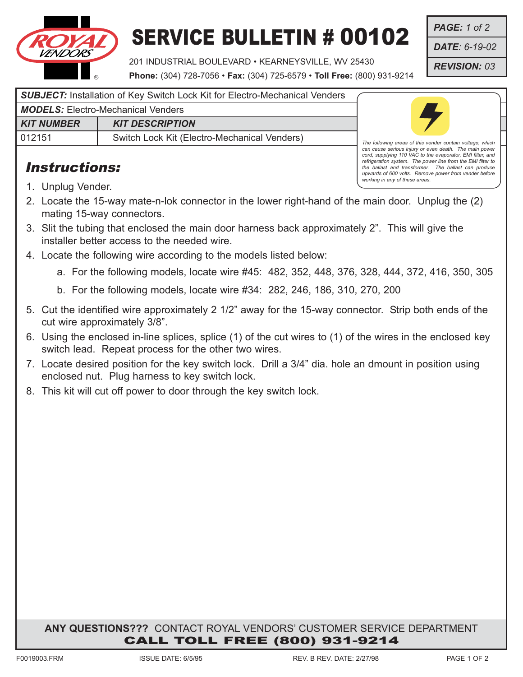

## SERVICE BULLETIN # 00102

201 INDUSTRIAL BOULEVARD • KEARNEYSVILLE, WV 25430

**Phone:** (304) 728-7056 • **Fax:** (304) 725-6579 • **Toll Free:** (800) 931-9214

*PAGE: 1 of 2*

*DATE: 6-19-02*

*REVISION: 03*

*SUBJECT:* Installation of Key Switch Lock Kit for Electro-Mechanical Venders

*MODELS:* Electro-Mechanical Venders

*KIT NUMBER* | *KIT DESCRIPTION* 012151 Switch Lock Kit (Electro-Mechanical Venders)

## Instructions:



*The following areas of this vender contain voltage, which can cause serious injury or even death. The main power cord, supplying 110 VAC to the evaporator, EMI filter, and refrigeration system. The power line from the EMI filter to the ballast and transformer. The ballast can produce upwards of 600 volts. Remove power from vender before working in any of these areas.*

- 1. Unplug Vender.
- 2. Locate the 15-way mate-n-lok connector in the lower right-hand of the main door. Unplug the (2) mating 15-way connectors.
- 3. Slit the tubing that enclosed the main door harness back approximately 2". This will give the installer better access to the needed wire.
- 4. Locate the following wire according to the models listed below:
	- a. For the following models, locate wire #45: 482, 352, 448, 376, 328, 444, 372, 416, 350, 305
	- b. For the following models, locate wire #34: 282, 246, 186, 310, 270, 200
- 5. Cut the identified wire approximately 2 1/2" away for the 15-way connector. Strip both ends of the cut wire approximately 3/8".
- 6. Using the enclosed in-line splices, splice (1) of the cut wires to (1) of the wires in the enclosed key switch lead. Repeat process for the other two wires.
- 7. Locate desired position for the key switch lock. Drill a 3/4" dia. hole an dmount in position using enclosed nut. Plug harness to key switch lock.
- 8. This kit will cut off power to door through the key switch lock.

**ANY QUESTIONS???** CONTACT ROYAL VENDORS' CUSTOMER SERVICE DEPARTMENT CALL TOLL FREE (800) 931-9214